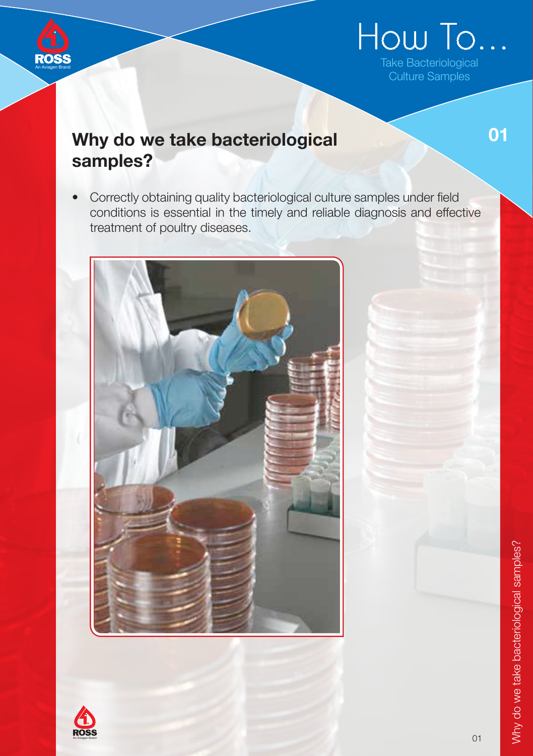

# How To...

Take Bacteriological Culture Samples

01

# Why do we take bacteriological samples?

• Correctly obtaining quality bacteriological culture samples under field conditions is essential in the timely and reliable diagnosis and effective treatment of poultry diseases.



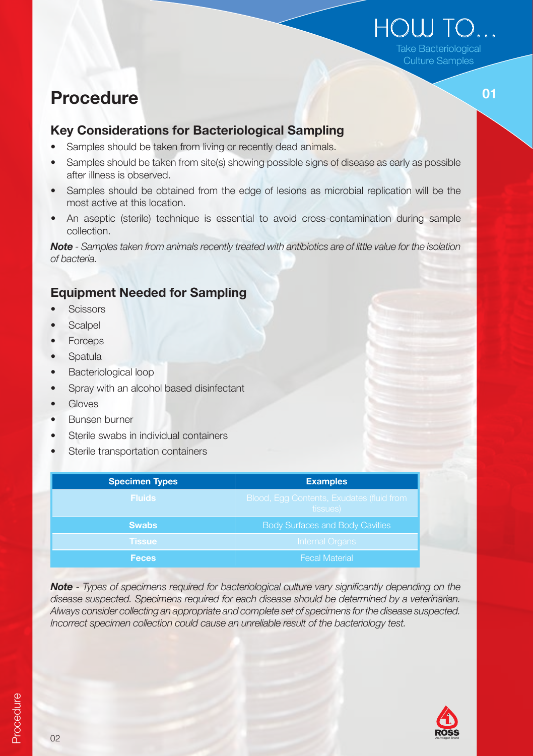# How to... Take Bacteriological

Culture Samples

 $\overline{\mathbf{01}}$ 

# Procedure

#### Key Considerations for Bacteriological Sampling

- Samples should be taken from living or recently dead animals.
- Samples should be taken from site(s) showing possible signs of disease as early as possible after illness is observed.
- Samples should be obtained from the edge of lesions as microbial replication will be the most active at this location.
- An aseptic (sterile) technique is essential to avoid cross-contamination during sample collection.

Note - Samples taken from animals recently treated with antibiotics are of little value for the isolation of bacteria.

#### Equipment Needed for Sampling

- Scissors  **Scissors** Science  **Scissors** Science  **Science Science Scissors** Science Science Science Science Science Science Science Science Science Science Science Science Science •
- **Scalpel**
- **Forceps**
- **Spatula**
- Bacteriological loop
- Spray with an alcohol based disinfectant
- **Gloves**
- • Bunsen burner
- Sterile swabs in individual containers
- Sterile transportation containers

| <b>Specimen Types</b> | <b>Examples</b>                                              |
|-----------------------|--------------------------------------------------------------|
| <b>Fluids</b>         | <b>Blood, Egg Contents, Exudates (fluid from</b><br>tissues) |
| <b>Swabs</b>          | <b>Body Surfaces and Body Cavities</b>                       |
| <b>Tissue</b>         | <b>Internal Organs</b>                                       |
| <b>Feces</b>          | <b>Fecal Material</b>                                        |

Note - Types of specimens required for bacteriological culture vary significantly depending on the disease suspected. Specimens required for each disease should be determined by a veterinarian. Always consider collecting an appropriate and complete set of specimens for the disease suspected. Incorrect specimen collection could cause an unreliable result of the bacteriology test.

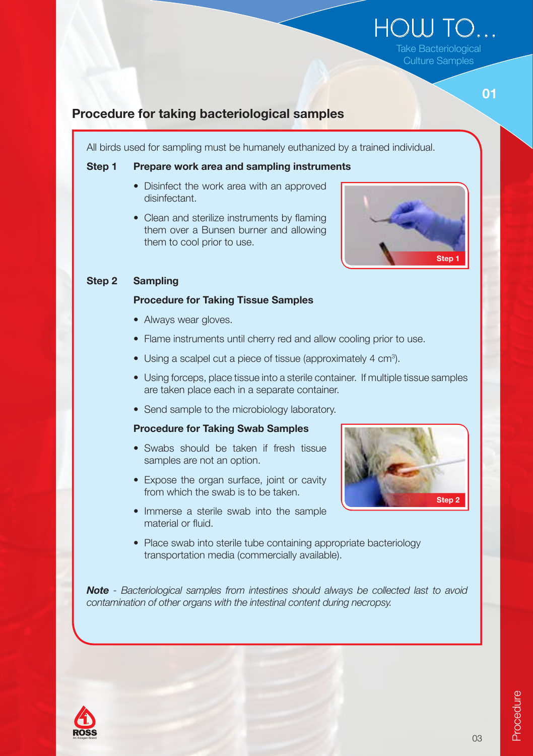## $H$  $O$  $H$  $O$  $H$ Take Bacteriological

Culture Samples

### Procedure for taking bacteriological samples

All birds used for sampling must be humanely euthanized by a trained individual.

#### Step 1 Prepare work area and sampling instruments

- Disinfect the work area with an approved disinfectant.
- Clean and sterilize instruments by flaming them over a Bunsen burner and allowing them to cool prior to use.



#### Step 2 Sampling

#### Procedure for Taking Tissue Samples

- Always wear gloves.
- Flame instruments until cherry red and allow cooling prior to use.
- Using a scalpel cut a piece of tissue (approximately 4 cm<sup>3</sup>).
- Using forceps, place tissue into a sterile container. If multiple tissue samples are taken place each in a separate container.
- Send sample to the microbiology laboratory.

#### Procedure for Taking Swab Samples

- Swabs should be taken if fresh tissue samples are not an option.
- Expose the organ surface, joint or cavity from which the swab is to be taken.
- Immerse a sterile swab into the sample material or fluid.
- Step 2
- Place swab into sterile tube containing appropriate bacteriology transportation media (commercially available).

Note - Bacteriological samples from intestines should always be collected last to avoid contamination of other organs with the intestinal content during necropsy.